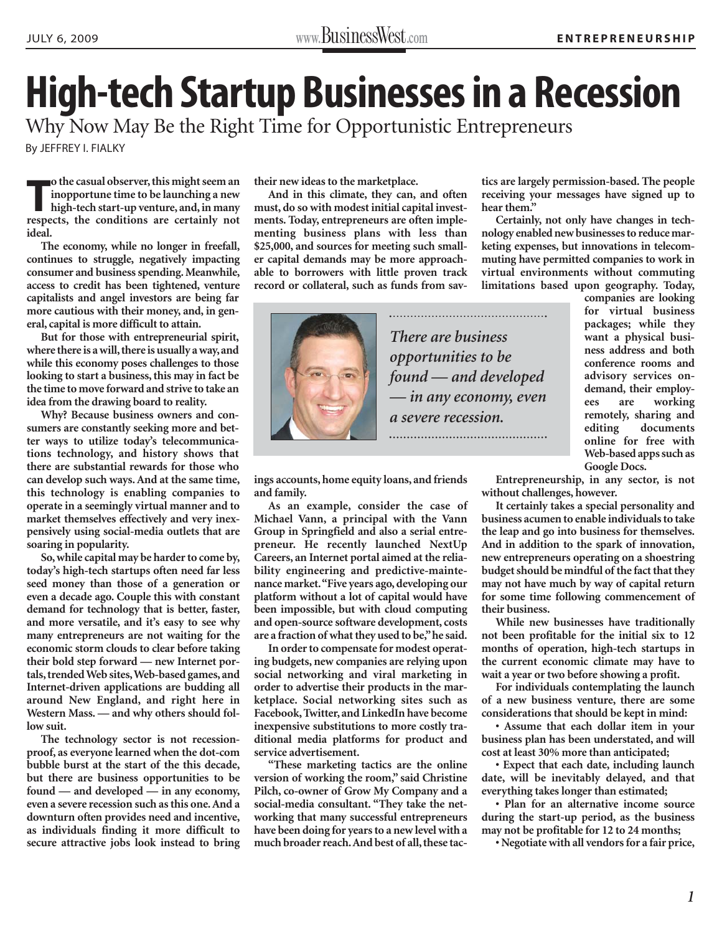## **High-tech Startup Businesses in a Recession**

Why Now May Be the Right Time for Opportunistic Entrepreneurs

By [JEFFREY I. FIALKY](http://www.baconwilson.com/attorney_directory_detail.epl?attorney_id=44)

**respects** of the casual observer, this might seem an inopportune time to be launching a new high-tech start-up venture, and, in many respects, the conditions are certainly not **o the casual observer, this might seem an inopportune time to be launching a new high-tech start-up venture, and, in many ideal.**

**The economy, while no longer in freefall, continues to struggle, negatively impacting consumer and business spending. Meanwhile, access to credit has been tightened, venture capitalists and angel investors are being far more cautious with their money, and, in general, capital is more difficult to attain.**

**But for those with entrepreneurial spirit, where there is a will, there is usually a way, and while this economy poses challenges to those looking to start a business, this may in fact be the time to move forward and strive to take an idea from the drawing board to reality.**

**Why? Because business owners and consumers are constantly seeking more and better ways to utilize today's telecommunications technology, and history shows that there are substantial rewards for those who can develop such ways. And at the same time, this technology is enabling companies to operate in a seemingly virtual manner and to market themselves effectively and very inexpensively using social-media outlets that are soaring in popularity.**

**So, while capital may be harder to come by, today's high-tech startups often need far less seed money than those of a generation or even a decade ago. Couple this with constant demand for technology that is better, faster, and more versatile, and it's easy to see why many entrepreneurs are not waiting for the economic storm clouds to clear before taking their bold step forward — new Internet portals, trended Web sites,Web-based games, and Internet-driven applications are budding all around New England, and right here in Western Mass. — and why others should follow suit.**

**The technology sector is not recessionproof, as everyone learned when the dot-com bubble burst at the start of the this decade, but there are business opportunities to be found — and developed — in any economy, even a severe recession such as this one. And a downturn often provides need and incentive, as individuals finding it more difficult to secure attractive jobs look instead to bring** **their new ideas to the marketplace.**

**And in this climate, they can, and often must, do so with modest initial capital investments. Today, entrepreneurs are often implementing business plans with less than \$25,000, and sources for meeting such smaller capital demands may be more approachable to borrowers with little proven track record or collateral, such as funds from sav-**



*There are business opportunities to be found — and developed — in any economy, even a severe recession.*

**tics are largely permission-based. The people receiving your messages have signed up to hear them."**

**Certainly, not only have changes in technology enabled new businesses to reduce marketing expenses, but innovations in telecommuting have permitted companies to work in virtual environments without commuting limitations based upon geography. Today,**

**companies are looking for virtual business packages; while they want a physical business address and both conference rooms and advisory services ondemand, their employees are working remotely, sharing and editing documents online for free with Web-based apps such as Google Docs.**

**ings accounts, home equity loans, and friends and family.**

**As an example, consider the case of Michael Vann, a principal with the Vann Group in Springfield and also a serial entrepreneur. He recently launched NextUp Careers, an Internet portal aimed at the reliability engineering and predictive-maintenance market."Five years ago, developing our platform without a lot of capital would have been impossible, but with cloud computing and open-source software development, costs are a fraction of what they used to be,"he said.**

**In order to compensate for modest operating budgets, new companies are relying upon social networking and viral marketing in order to advertise their products in the marketplace. Social networking sites such as Facebook, Twitter, and LinkedIn have become inexpensive substitutions to more costly traditional media platforms for product and service advertisement.**

**"These marketing tactics are the online version of working the room," said Christine Pilch, co-owner of Grow My Company and a social-media consultant. "They take the networking that many successful entrepreneurs have been doing for years to a new level with a much broader reach.And best of all, these tac-**

**Entrepreneurship, in any sector, is not without challenges, however.**

**It certainly takes a special personality and business acumen to enable individuals to take the leap and go into business for themselves. And in addition to the spark of innovation, new entrepreneurs operating on a shoestring budget should be mindful of the fact that they may not have much by way of capital return for some time following commencement of their business.**

**While new businesses have traditionally not been profitable for the initial six to 12 months of operation, high-tech startups in the current economic climate may have to wait a year or two before showing a profit.**

**For individuals contemplating the launch of a new business venture, there are some considerations that should be kept in mind:**

**• Assume that each dollar item in your business plan has been understated, and will cost at least 30% more than anticipated;**

**• Expect that each date, including launch date, will be inevitably delayed, and that everything takes longer than estimated;**

**• Plan for an alternative income source during the start-up period, as the business may not be profitable for 12 to 24 months;**

**• Negotiate with all vendors for a fair price,**